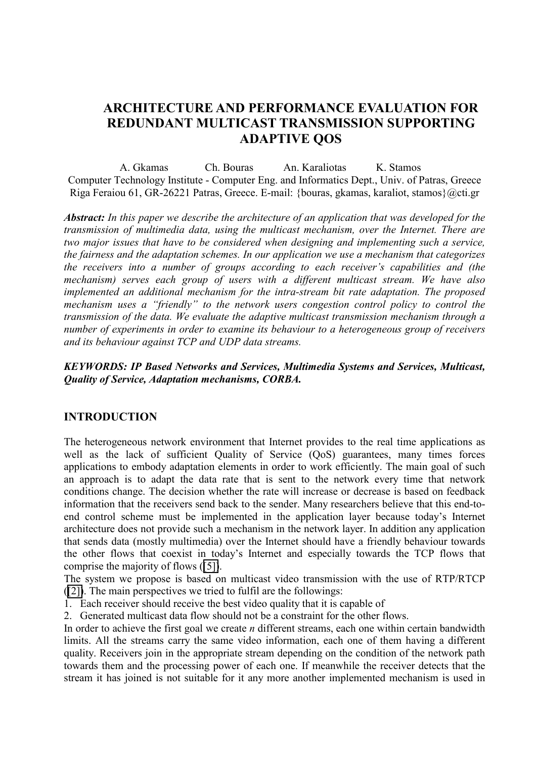# **ARCHITECTURE AND PERFORMANCE EVALUATION FOR REDUNDANT MULTICAST TRANSMISSION SUPPORTING ADAPTIVE QOS**

A. Gkamas Ch. Bouras An. Karaliotas K. Stamos Computer Technology Institute - Computer Eng. and Informatics Dept., Univ. of Patras, Greece Riga Feraiou 61, GR-26221 Patras, Greece. E-mail: {bouras, gkamas, karaliot, stamos}@cti.gr

*Abstract: In this paper we describe the architecture of an application that was developed for the transmission of multimedia data, using the multicast mechanism, over the Internet. There are two major issues that have to be considered when designing and implementing such a service, the fairness and the adaptation schemes. In our application we use a mechanism that categorizes the receivers into a number of groups according to each receiver's capabilities and (the mechanism) serves each group of users with a different multicast stream. We have also implemented an additional mechanism for the intra-stream bit rate adaptation. The proposed mechanism uses a "friendly" to the network users congestion control policy to control the transmission of the data. We evaluate the adaptive multicast transmission mechanism through a number of experiments in order to examine its behaviour to a heterogeneous group of receivers and its behaviour against TCP and UDP data streams.*

#### *KEYWORDS: IP Based Networks and Services, Multimedia Systems and Services, Multicast, Quality of Service, Adaptation mechanisms, CORBA.*

# **INTRODUCTION**

The heterogeneous network environment that Internet provides to the real time applications as well as the lack of sufficient Quality of Service (QoS) guarantees, many times forces applications to embody adaptation elements in order to work efficiently. The main goal of such an approach is to adapt the data rate that is sent to the network every time that network conditions change. The decision whether the rate will increase or decrease is based on feedback information that the receivers send back to the sender. Many researchers believe that this end-toend control scheme must be implemented in the application layer because today's Internet architecture does not provide such a mechanism in the network layer. In addition any application that sends data (mostly multimedia) over the Internet should have a friendly behaviour towards the other flows that coexist in today's Internet and especially towards the TCP flows that comprise the majority of flows ([\[5\]\)](#page-7-0).

The system we propose is based on multicast video transmission with the use of RTP/RTCP ([\[2\]\)](#page-7-0). The main perspectives we tried to fulfil are the followings:

- 1. Each receiver should receive the best video quality that it is capable of
- 2. Generated multicast data flow should not be a constraint for the other flows.

In order to achieve the first goal we create *n* different streams, each one within certain bandwidth limits. All the streams carry the same video information, each one of them having a different quality. Receivers join in the appropriate stream depending on the condition of the network path towards them and the processing power of each one. If meanwhile the receiver detects that the stream it has joined is not suitable for it any more another implemented mechanism is used in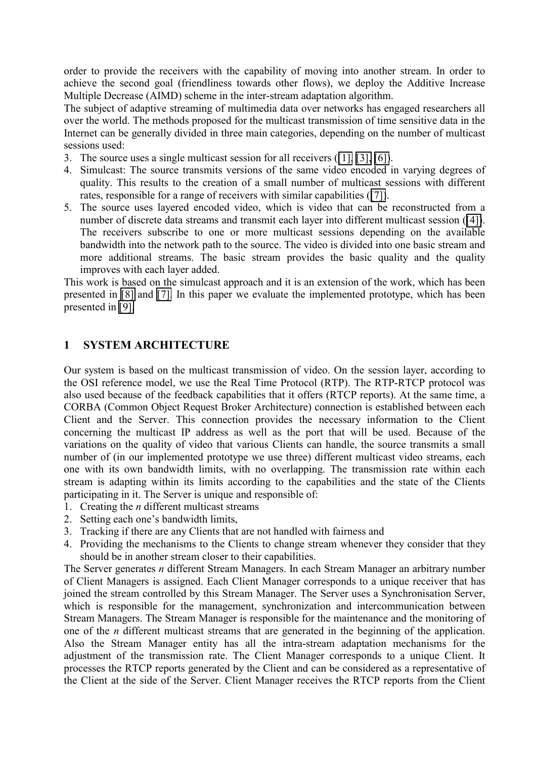order to provide the receivers with the capability of moving into another stream. In order to achieve the second goal (friendliness towards other flows), we deploy the Additive Increase Multiple Decrease (AIMD) scheme in the inter-stream adaptation algorithm.

The subject of adaptive streaming of multimedia data over networks has engaged researchers all over the world. The methods proposed for the multicast transmission of time sensitive data in the Internet can be generally divided in three main categories, depending on the number of multicast sessions used:

- 3. The source uses a single multicast session for all receivers ([\[1\], \[3\],](#page-7-0) [\[6\]\)](#page-7-0).
- 4. Simulcast: The source transmits versions of the same video encoded in varying degrees of quality. This results to the creation of a small number of multicast sessions with different rates, responsible for a range of receivers with similar capabilities ([\[7\]\)](#page-7-0).
- 5. The source uses layered encoded video, which is video that can be reconstructed from a number of discrete data streams and transmit each layer into different multicast session ([\[4\]\)](#page-7-0). The receivers subscribe to one or more multicast sessions depending on the available bandwidth into the network path to the source. The video is divided into one basic stream and more additional streams. The basic stream provides the basic quality and the quality improves with each layer added.

This work is based on the simulcast approach and it is an extension of the work, which has been presented in [\[8\]](#page-7-0) and [\[7\].](#page-7-0) In this paper we evaluate the implemented prototype, which has been presented in [\[9\].](#page-7-0)

# **1 SYSTEM ARCHITECTURE**

Our system is based on the multicast transmission of video. On the session layer, according to the OSI reference model, we use the Real Time Protocol (RTP). The RTP-RTCP protocol was also used because of the feedback capabilities that it offers (RTCP reports). At the same time, a CORBA (Common Object Request Broker Architecture) connection is established between each Client and the Server. This connection provides the necessary information to the Client concerning the multicast IP address as well as the port that will be used. Because of the variations on the quality of video that various Clients can handle, the source transmits a small number of (in our implemented prototype we use three) different multicast video streams, each one with its own bandwidth limits, with no overlapping. The transmission rate within each stream is adapting within its limits according to the capabilities and the state of the Clients participating in it. The Server is unique and responsible of:

- 1. Creating the *n* different multicast streams
- 2. Setting each one's bandwidth limits,
- 3. Tracking if there are any Clients that are not handled with fairness and
- 4. Providing the mechanisms to the Clients to change stream whenever they consider that they should be in another stream closer to their capabilities.

The Server generates *n* different Stream Managers. In each Stream Manager an arbitrary number of Client Managers is assigned. Each Client Manager corresponds to a unique receiver that has joined the stream controlled by this Stream Manager. The Server uses a Synchronisation Server, which is responsible for the management, synchronization and intercommunication between Stream Managers. The Stream Manager is responsible for the maintenance and the monitoring of one of the *n* different multicast streams that are generated in the beginning of the application. Also the Stream Manager entity has all the intra-stream adaptation mechanisms for the adjustment of the transmission rate. The Client Manager corresponds to a unique Client. It processes the RTCP reports generated by the Client and can be considered as a representative of the Client at the side of the Server. Client Manager receives the RTCP reports from the Client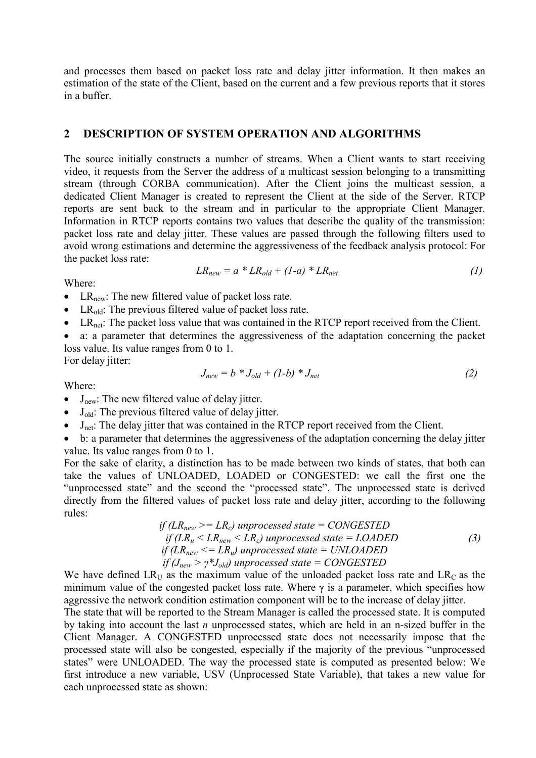and processes them based on packet loss rate and delay jitter information. It then makes an estimation of the state of the Client, based on the current and a few previous reports that it stores in a buffer.

#### **2 DESCRIPTION OF SYSTEM OPERATION AND ALGORITHMS**

The source initially constructs a number of streams. When a Client wants to start receiving video, it requests from the Server the address of a multicast session belonging to a transmitting stream (through CORBA communication). After the Client joins the multicast session, a dedicated Client Manager is created to represent the Client at the side of the Server. RTCP reports are sent back to the stream and in particular to the appropriate Client Manager. Information in RTCP reports contains two values that describe the quality of the transmission: packet loss rate and delay jitter. These values are passed through the following filters used to avoid wrong estimations and determine the aggressiveness of the feedback analysis protocol: For the packet loss rate:

$$
LR_{new} = a * LR_{old} + (1-a) * LR_{net}
$$
 (1)

Where:

- LR<sub>new</sub>: The new filtered value of packet loss rate.
- LR<sub>old</sub>: The previous filtered value of packet loss rate.
- LR<sub>net</sub>: The packet loss value that was contained in the RTCP report received from the Client.
- a: a parameter that determines the aggressiveness of the adaptation concerning the packet loss value. Its value ranges from 0 to 1. For delay jitter:

Where:

- $J_{\text{new}} = b * J_{\text{old}} + (1-b) * J_{\text{net}}$  (2)
- $J_{\text{new}}$ : The new filtered value of delay jitter.
- $\bullet$  J<sub>old</sub>: The previous filtered value of delay jitter.
- $\bullet$  J<sub>net</sub>: The delay jitter that was contained in the RTCP report received from the Client.

• b: a parameter that determines the aggressiveness of the adaptation concerning the delay jitter value. Its value ranges from 0 to 1.

For the sake of clarity, a distinction has to be made between two kinds of states, that both can take the values of UNLOADED, LOADED or CONGESTED: we call the first one the "unprocessed state" and the second the "processed state". The unprocessed state is derived directly from the filtered values of packet loss rate and delay jitter, according to the following rules:

if 
$$
(LR_{new} \geq = LR_c)
$$
 unprocessed state = CONGESTED  
if  $(LR_u < LR_{new} < LR_c)$  unprocessed state = LOADED  
if  $(LR_{new} \leq = LR_u)$  unprocessed state = UNLOADED  
if  $(J_{new} \geq \gamma * J_{old})$  unprocessed state = CONGESTED

We have defined  $LR_U$  as the maximum value of the unloaded packet loss rate and  $LR_C$  as the minimum value of the congested packet loss rate. Where  $\gamma$  is a parameter, which specifies how aggressive the network condition estimation component will be to the increase of delay jitter.

The state that will be reported to the Stream Manager is called the processed state. It is computed by taking into account the last *n* unprocessed states, which are held in an n-sized buffer in the Client Manager. A CONGESTED unprocessed state does not necessarily impose that the processed state will also be congested, especially if the majority of the previous "unprocessed states" were UNLOADED. The way the processed state is computed as presented below: We first introduce a new variable, USV (Unprocessed State Variable), that takes a new value for each unprocessed state as shown: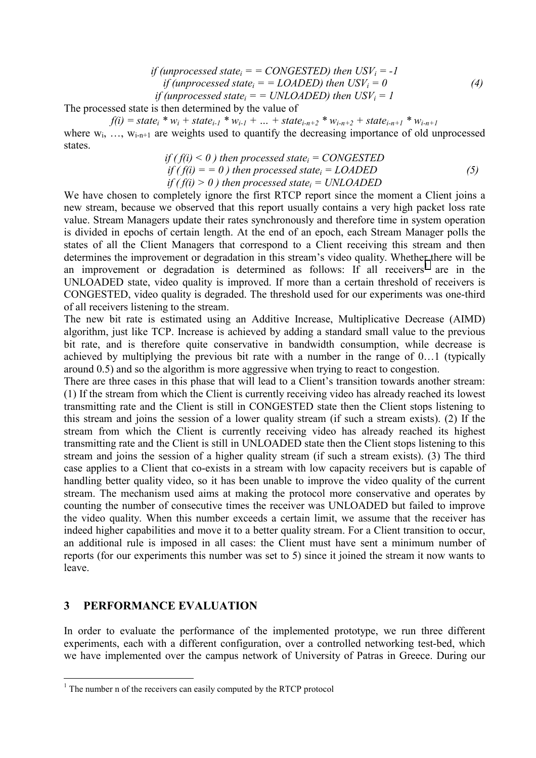if (unprocessed state<sub>i</sub> = = CONGESTED) then 
$$
USV_i = -1
$$
  
if (unprocessed state<sub>i</sub> = = LOADED) then  $USV_i = 0$   
if (unprocessed state<sub>i</sub> = = UNLOADED) then  $USV_i = 1$  (4)

The processed state is then determined by the value of

 $f(i) = state_i * w_i + state_{i-1} * w_{i-1} + ... + state_{i-n+2} * w_{i-n+2} + state_{i-n+1} * w_{i-n+1}$ where  $w_i$ , …,  $w_{i-n+1}$  are weights used to quantify the decreasing importance of old unprocessed states.

if 
$$
(f(i) < 0)
$$
 then processed state<sub>i</sub> = CONGESTED  
\nif  $(f(i) = 0)$  then processed state<sub>i</sub> = LOADED  
\nif  $(f(i) > 0)$  then processed state<sub>i</sub> = UNLOADED\n
$$
(5)
$$

We have chosen to completely ignore the first RTCP report since the moment a Client joins a new stream, because we observed that this report usually contains a very high packet loss rate value. Stream Managers update their rates synchronously and therefore time in system operation is divided in epochs of certain length. At the end of an epoch, each Stream Manager polls the states of all the Client Managers that correspond to a Client receiving this stream and then determines the improvement or degradation in this stream's video quality. Whether there will be an improvement or degradation is determined as follows: If all receivers<sup>1</sup> are in the UNLOADED state, video quality is improved. If more than a certain threshold of receivers is CONGESTED, video quality is degraded. The threshold used for our experiments was one-third of all receivers listening to the stream.

The new bit rate is estimated using an Additive Increase, Multiplicative Decrease (AIMD) algorithm, just like TCP. Increase is achieved by adding a standard small value to the previous bit rate, and is therefore quite conservative in bandwidth consumption, while decrease is achieved by multiplying the previous bit rate with a number in the range of 0…1 (typically around 0.5) and so the algorithm is more aggressive when trying to react to congestion.

There are three cases in this phase that will lead to a Client's transition towards another stream: (1) If the stream from which the Client is currently receiving video has already reached its lowest transmitting rate and the Client is still in CONGESTED state then the Client stops listening to this stream and joins the session of a lower quality stream (if such a stream exists). (2) If the stream from which the Client is currently receiving video has already reached its highest transmitting rate and the Client is still in UNLOADED state then the Client stops listening to this stream and joins the session of a higher quality stream (if such a stream exists). (3) The third case applies to a Client that co-exists in a stream with low capacity receivers but is capable of handling better quality video, so it has been unable to improve the video quality of the current stream. The mechanism used aims at making the protocol more conservative and operates by counting the number of consecutive times the receiver was UNLOADED but failed to improve the video quality. When this number exceeds a certain limit, we assume that the receiver has indeed higher capabilities and move it to a better quality stream. For a Client transition to occur, an additional rule is imposed in all cases: the Client must have sent a minimum number of reports (for our experiments this number was set to 5) since it joined the stream it now wants to leave.

# **3 PERFORMANCE EVALUATION**

 $\overline{a}$ 

In order to evaluate the performance of the implemented prototype, we run three different experiments, each with a different configuration, over a controlled networking test-bed, which we have implemented over the campus network of University of Patras in Greece. During our

<sup>&</sup>lt;sup>1</sup> The number n of the receivers can easily computed by the RTCP protocol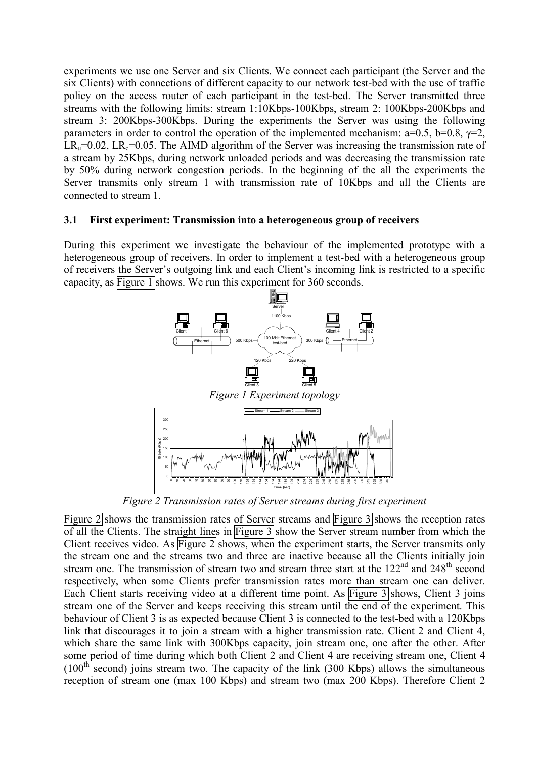experiments we use one Server and six Clients. We connect each participant (the Server and the six Clients) with connections of different capacity to our network test-bed with the use of traffic policy on the access router of each participant in the test-bed. The Server transmitted three streams with the following limits: stream 1:10Kbps-100Kbps, stream 2: 100Kbps-200Kbps and stream 3: 200Kbps-300Kbps. During the experiments the Server was using the following parameters in order to control the operation of the implemented mechanism:  $a=0.5$ ,  $b=0.8$ ,  $\gamma=2$ ,  $LR<sub>u</sub>=0.02$ ,  $LR<sub>c</sub>=0.05$ . The AIMD algorithm of the Server was increasing the transmission rate of a stream by 25Kbps, during network unloaded periods and was decreasing the transmission rate by 50% during network congestion periods. In the beginning of the all the experiments the Server transmits only stream 1 with transmission rate of 10Kbps and all the Clients are connected to stream 1.

#### **3.1 First experiment: Transmission into a heterogeneous group of receivers**

During this experiment we investigate the behaviour of the implemented prototype with a heterogeneous group of receivers. In order to implement a test-bed with a heterogeneous group of receivers the Server's outgoing link and each Client's incoming link is restricted to a specific capacity, as Figure 1 shows. We run this experiment for 360 seconds.



*Figure 2 Transmission rates of Server streams during first experiment* 

Figure 2 shows the transmission rates of Server streams and [Figure 3](#page-5-0) shows the reception rates of all the Clients. The straight lines in [Figure 3](#page-5-0) show the Server stream number from which the Client receives video. As Figure 2 shows, when the experiment starts, the Server transmits only the stream one and the streams two and three are inactive because all the Clients initially join stream one. The transmission of stream two and stream three start at the 122<sup>nd</sup> and 248<sup>th</sup> second respectively, when some Clients prefer transmission rates more than stream one can deliver. Each Client starts receiving video at a different time point. As [Figure 3](#page-5-0) shows, Client 3 joins stream one of the Server and keeps receiving this stream until the end of the experiment. This behaviour of Client 3 is as expected because Client 3 is connected to the test-bed with a 120Kbps link that discourages it to join a stream with a higher transmission rate. Client 2 and Client 4, which share the same link with 300Kbps capacity, join stream one, one after the other. After some period of time during which both Client 2 and Client 4 are receiving stream one, Client 4  $(100<sup>th</sup> second)$  joins stream two. The capacity of the link (300 Kbps) allows the simultaneous reception of stream one (max 100 Kbps) and stream two (max 200 Kbps). Therefore Client 2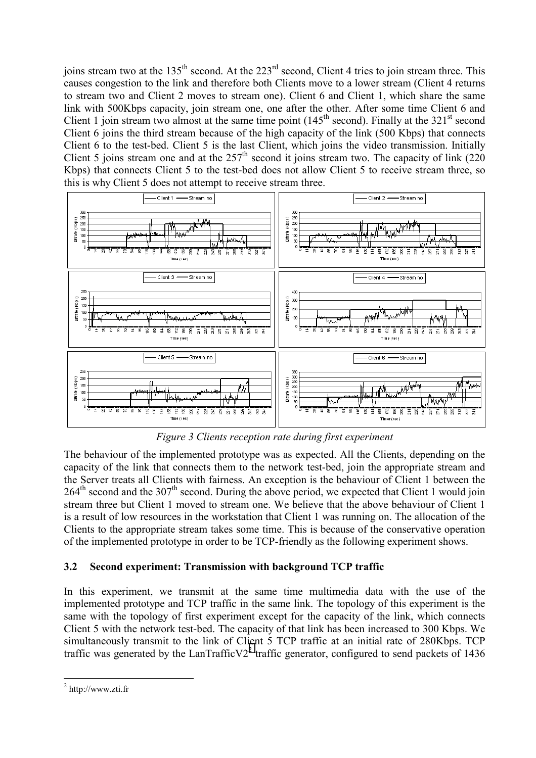<span id="page-5-0"></span>joins stream two at the  $135<sup>th</sup>$  second. At the  $223<sup>rd</sup>$  second, Client 4 tries to join stream three. This causes congestion to the link and therefore both Clients move to a lower stream (Client 4 returns to stream two and Client 2 moves to stream one). Client 6 and Client 1, which share the same link with 500Kbps capacity, join stream one, one after the other. After some time Client 6 and Client 1 join stream two almost at the same time point  $(145<sup>th</sup> second)$ . Finally at the 321<sup>st</sup> second Client 6 joins the third stream because of the high capacity of the link (500 Kbps) that connects Client 6 to the test-bed. Client 5 is the last Client, which joins the video transmission. Initially Client 5 joins stream one and at the  $257<sup>th</sup>$  second it joins stream two. The capacity of link (220) Kbps) that connects Client 5 to the test-bed does not allow Client 5 to receive stream three, so this is why Client 5 does not attempt to receive stream three.



*Figure 3 Clients reception rate during first experiment* 

The behaviour of the implemented prototype was as expected. All the Clients, depending on the capacity of the link that connects them to the network test-bed, join the appropriate stream and the Server treats all Clients with fairness. An exception is the behaviour of Client 1 between the  $264<sup>th</sup>$  second and the 307<sup>th</sup> second. During the above period, we expected that Client 1 would join stream three but Client 1 moved to stream one. We believe that the above behaviour of Client 1 is a result of low resources in the workstation that Client 1 was running on. The allocation of the Clients to the appropriate stream takes some time. This is because of the conservative operation of the implemented prototype in order to be TCP-friendly as the following experiment shows.

# **3.2 Second experiment: Transmission with background TCP traffic**

In this experiment, we transmit at the same time multimedia data with the use of the implemented prototype and TCP traffic in the same link. The topology of this experiment is the same with the topology of first experiment except for the capacity of the link, which connects Client 5 with the network test-bed. The capacity of that link has been increased to 300 Kbps. We simultaneously transmit to the link of Client 5 TCP traffic at an initial rate of 280Kbps. TCP traffic was generated by the LanTrafficV2<sup>2</sup> traffic generator, configured to send packets of 1436

 $\overline{a}$ 

 $2$  http://www.zti.fr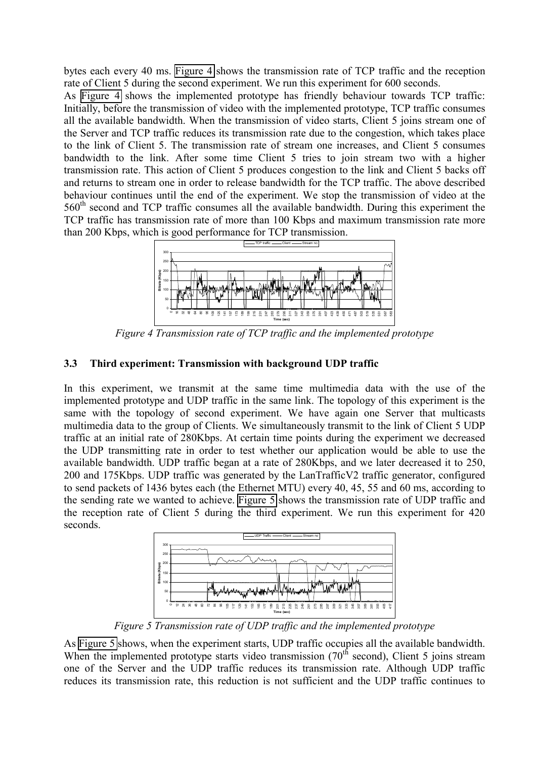bytes each every 40 ms. Figure 4 shows the transmission rate of TCP traffic and the reception rate of Client 5 during the second experiment. We run this experiment for 600 seconds.

As Figure 4 shows the implemented prototype has friendly behaviour towards TCP traffic: Initially, before the transmission of video with the implemented prototype, TCP traffic consumes all the available bandwidth. When the transmission of video starts, Client 5 joins stream one of the Server and TCP traffic reduces its transmission rate due to the congestion, which takes place to the link of Client 5. The transmission rate of stream one increases, and Client 5 consumes bandwidth to the link. After some time Client 5 tries to join stream two with a higher transmission rate. This action of Client 5 produces congestion to the link and Client 5 backs off and returns to stream one in order to release bandwidth for the TCP traffic. The above described behaviour continues until the end of the experiment. We stop the transmission of video at the 560<sup>th</sup> second and TCP traffic consumes all the available bandwidth. During this experiment the TCP traffic has transmission rate of more than 100 Kbps and maximum transmission rate more than 200 Kbps, which is good performance for TCP transmission.



*Figure 4 Transmission rate of TCP traffic and the implemented prototype* 

# **3.3 Third experiment: Transmission with background UDP traffic**

In this experiment, we transmit at the same time multimedia data with the use of the implemented prototype and UDP traffic in the same link. The topology of this experiment is the same with the topology of second experiment. We have again one Server that multicasts multimedia data to the group of Clients. We simultaneously transmit to the link of Client 5 UDP traffic at an initial rate of 280Kbps. At certain time points during the experiment we decreased the UDP transmitting rate in order to test whether our application would be able to use the available bandwidth. UDP traffic began at a rate of 280Kbps, and we later decreased it to 250, 200 and 175Kbps. UDP traffic was generated by the LanTrafficV2 traffic generator, configured to send packets of 1436 bytes each (the Ethernet MTU) every 40, 45, 55 and 60 ms, according to the sending rate we wanted to achieve. Figure 5 shows the transmission rate of UDP traffic and the reception rate of Client 5 during the third experiment. We run this experiment for 420 seconds.



*Figure 5 Transmission rate of UDP traffic and the implemented prototype* 

As Figure 5 shows, when the experiment starts, UDP traffic occupies all the available bandwidth. When the implemented prototype starts video transmission  $(70<sup>th</sup> second)$ , Client 5 joins stream one of the Server and the UDP traffic reduces its transmission rate. Although UDP traffic reduces its transmission rate, this reduction is not sufficient and the UDP traffic continues to